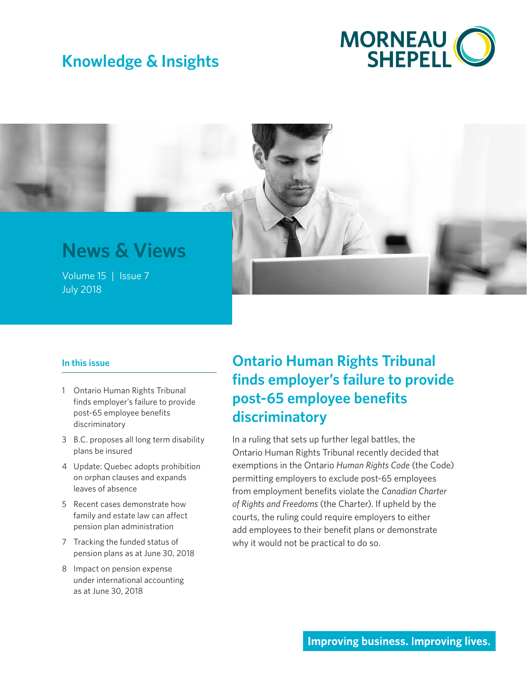# **Knowledge & Insights**



# **News & Views**

Volume 15 | Issue X 7July 2018**July 2018** 

#### **In this issue**

- 1 Ontario Human Rights Tribunal finds employer's failure to provide post-65 employee benefits discriminatory
- 3 [B.C. proposes all long term disability](#page-2-0)  [plans be insured](#page-2-0)
- 4 [Update: Quebec adopts prohibition](#page-3-0)  [on orphan clauses and expands](#page-3-0)  [leaves of absence](#page-3-0)
- 5 [Recent cases demonstrate how](#page-4-0)  [family and estate law can affect](#page-4-0)  [pension plan administration](#page-4-0)
- 7 [Tracking the funded status of](#page-6-0)  [pension plans as at June](#page-6-0) 30, 2018
- 8 [Impact on pension expense](#page-7-0)  [under international accounting](#page-7-0)  [as at June](#page-7-0) 30, 2018

## **Ontario Human Rights Tribunal finds employer's failure to provide post-65 employee benefits discriminatory**

In a ruling that sets up further legal battles, the Ontario Human Rights Tribunal recently decided that exemptions in the Ontario *Human Rights Code* (the Code) permitting employers to exclude post-65 employees from employment benefits violate the *Canadian Charter of Rights and Freedoms* (the Charter). If upheld by the courts, the ruling could require employers to either add employees to their benefit plans or demonstrate why it would not be practical to do so.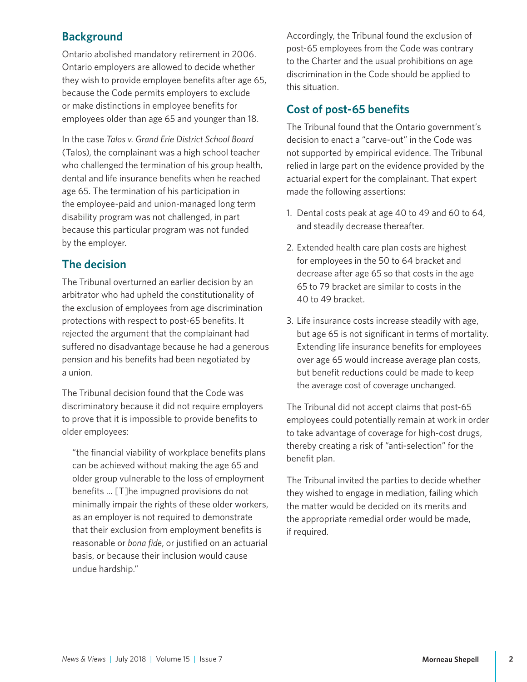### **Background**

Ontario abolished mandatory retirement in 2006. Ontario employers are allowed to decide whether they wish to provide employee benefits after age 65, because the Code permits employers to exclude or make distinctions in employee benefits for employees older than age 65 and younger than 18.

In the case *Talos v. Grand Erie District School Board* (Talos), the complainant was a high school teacher who challenged the termination of his group health, dental and life insurance benefits when he reached age 65. The termination of his participation in the employee-paid and union-managed long term disability program was not challenged, in part because this particular program was not funded by the employer.

### **The decision**

The Tribunal overturned an earlier decision by an arbitrator who had upheld the constitutionality of the exclusion of employees from age discrimination protections with respect to post-65 benefits. It rejected the argument that the complainant had suffered no disadvantage because he had a generous pension and his benefits had been negotiated by a union.

The Tribunal decision found that the Code was discriminatory because it did not require employers to prove that it is impossible to provide benefits to older employees:

"the financial viability of workplace benefits plans can be achieved without making the age 65 and older group vulnerable to the loss of employment benefits … [T]he impugned provisions do not minimally impair the rights of these older workers, as an employer is not required to demonstrate that their exclusion from employment benefits is reasonable or *bona fide*, or justified on an actuarial basis, or because their inclusion would cause undue hardship."

Accordingly, the Tribunal found the exclusion of post-65 employees from the Code was contrary to the Charter and the usual prohibitions on age discrimination in the Code should be applied to this situation.

### **Cost of post-65 benefits**

The Tribunal found that the Ontario government's decision to enact a "carve-out" in the Code was not supported by empirical evidence. The Tribunal relied in large part on the evidence provided by the actuarial expert for the complainant. That expert made the following assertions:

- 1. Dental costs peak at age 40 to 49 and 60 to 64, and steadily decrease thereafter.
- 2. Extended health care plan costs are highest for employees in the 50 to 64 bracket and decrease after age 65 so that costs in the age 65 to 79 bracket are similar to costs in the 40 to 49 bracket.
- 3. Life insurance costs increase steadily with age, but age 65 is not significant in terms of mortality. Extending life insurance benefits for employees over age 65 would increase average plan costs, but benefit reductions could be made to keep the average cost of coverage unchanged.

The Tribunal did not accept claims that post-65 employees could potentially remain at work in order to take advantage of coverage for high-cost drugs, thereby creating a risk of "anti-selection" for the benefit plan.

The Tribunal invited the parties to decide whether they wished to engage in mediation, failing which the matter would be decided on its merits and the appropriate remedial order would be made, if required.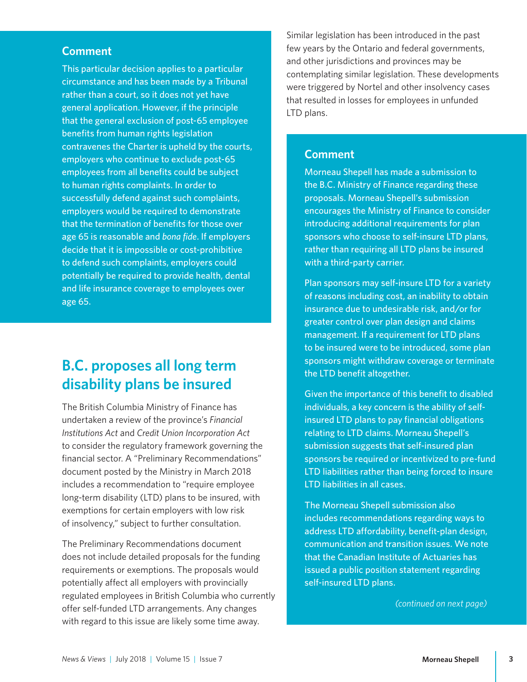### <span id="page-2-0"></span>**Comment**

This particular decision applies to a particular circumstance and has been made by a Tribunal rather than a court, so it does not yet have general application. However, if the principle that the general exclusion of post-65 employee benefits from human rights legislation contravenes the Charter is upheld by the courts, employers who continue to exclude post-65 employees from all benefits could be subject to human rights complaints. In order to successfully defend against such complaints, employers would be required to demonstrate that the termination of benefits for those over age 65 is reasonable and *bona fide*. If employers decide that it is impossible or cost-prohibitive to defend such complaints, employers could potentially be required to provide health, dental and life insurance coverage to employees over age 65.

## **B.C. proposes all long term disability plans be insured**

The British Columbia Ministry of Finance has undertaken a review of the province's *Financial Institutions Act* and *Credit Union Incorporation Act* to consider the regulatory framework governing the financial sector. A "Preliminary Recommendations" document posted by the Ministry in March 2018 includes a recommendation to "require employee long-term disability (LTD) plans to be insured, with exemptions for certain employers with low risk of insolvency," subject to further consultation.

The Preliminary Recommendations document does not include detailed proposals for the funding requirements or exemptions. The proposals would potentially affect all employers with provincially regulated employees in British Columbia who currently offer self-funded LTD arrangements. Any changes with regard to this issue are likely some time away.

Similar legislation has been introduced in the past few years by the Ontario and federal governments, and other jurisdictions and provinces may be contemplating similar legislation. These developments were triggered by Nortel and other insolvency cases that resulted in losses for employees in unfunded LTD plans.

### **Comment**

Morneau Shepell has made a submission to the B.C. Ministry of Finance regarding these proposals. Morneau Shepell's submission encourages the Ministry of Finance to consider introducing additional requirements for plan sponsors who choose to self-insure LTD plans, rather than requiring all LTD plans be insured with a third-party carrier.

Plan sponsors may self-insure LTD for a variety of reasons including cost, an inability to obtain insurance due to undesirable risk, and/or for greater control over plan design and claims management. If a requirement for LTD plans to be insured were to be introduced, some plan sponsors might withdraw coverage or terminate the LTD benefit altogether.

Given the importance of this benefit to disabled individuals, a key concern is the ability of selfinsured LTD plans to pay financial obligations relating to LTD claims. Morneau Shepell's submission suggests that self-insured plan sponsors be required or incentivized to pre-fund LTD liabilities rather than being forced to insure LTD liabilities in all cases.

The Morneau Shepell submission also includes recommendations regarding ways to address LTD affordability, benefit-plan design, communication and transition issues. We note that the Canadian Institute of Actuaries has issued a public position statement regarding self-insured LTD plans.

*(continued on next page)*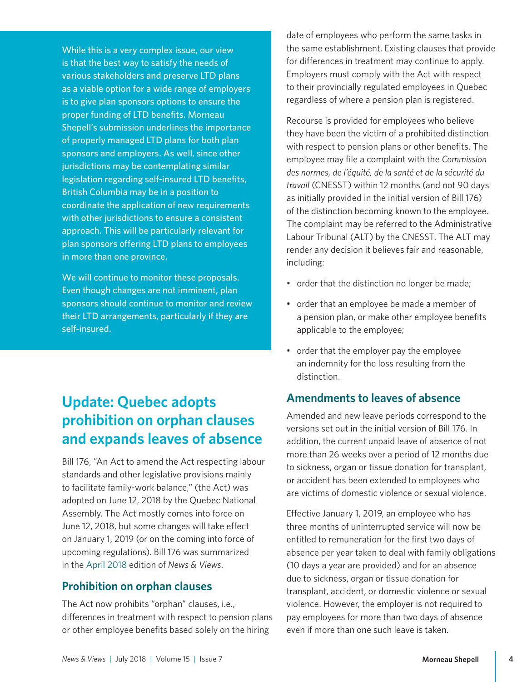<span id="page-3-0"></span>While this is a very complex issue, our view is that the best way to satisfy the needs of various stakeholders and preserve LTD plans as a viable option for a wide range of employers is to give plan sponsors options to ensure the proper funding of LTD benefits. Morneau Shepell's submission underlines the importance of properly managed LTD plans for both plan sponsors and employers. As well, since other jurisdictions may be contemplating similar legislation regarding self-insured LTD benefits, British Columbia may be in a position to coordinate the application of new requirements with other jurisdictions to ensure a consistent approach. This will be particularly relevant for plan sponsors offering LTD plans to employees in more than one province.

We will continue to monitor these proposals. Even though changes are not imminent, plan sponsors should continue to monitor and review their LTD arrangements, particularly if they are self-insured.

## **Update: Quebec adopts prohibition on orphan clauses and expands leaves of absence**

Bill 176, "An Act to amend the Act respecting labour standards and other legislative provisions mainly to facilitate family-work balance," (the Act) was adopted on June 12, 2018 by the Quebec National Assembly. The Act mostly comes into force on June 12, 2018, but some changes will take effect on January 1, 2019 (or on the coming into force of upcoming regulations). Bill 176 was summarized in the [April 2018](https://www.morneaushepell.com/ca-en/insights/quebec-bill-176-differences-treatment-respect-pension-plans-and-employee-benefits-and-other) edition of *News & Views*.

### **Prohibition on orphan clauses**

The Act now prohibits "orphan" clauses, i.e., differences in treatment with respect to pension plans or other employee benefits based solely on the hiring

date of employees who perform the same tasks in the same establishment. Existing clauses that provide for differences in treatment may continue to apply. Employers must comply with the Act with respect to their provincially regulated employees in Quebec regardless of where a pension plan is registered.

Recourse is provided for employees who believe they have been the victim of a prohibited distinction with respect to pension plans or other benefits. The employee may file a complaint with the *Commission des normes, de l'équité, de la santé et de la sécurité du travail* (CNESST) within 12 months (and not 90 days as initially provided in the initial version of Bill 176) of the distinction becoming known to the employee. The complaint may be referred to the Administrative Labour Tribunal (ALT) by the CNESST. The ALT may render any decision it believes fair and reasonable, including:

- order that the distinction no longer be made;
- order that an employee be made a member of a pension plan, or make other employee benefits applicable to the employee;
- order that the employer pay the employee an indemnity for the loss resulting from the distinction.

### **Amendments to leaves of absence**

Amended and new leave periods correspond to the versions set out in the initial version of Bill 176. In addition, the current unpaid leave of absence of not more than 26 weeks over a period of 12 months due to sickness, organ or tissue donation for transplant, or accident has been extended to employees who are victims of domestic violence or sexual violence.

Effective January 1, 2019, an employee who has three months of uninterrupted service will now be entitled to remuneration for the first two days of absence per year taken to deal with family obligations (10 days a year are provided) and for an absence due to sickness, organ or tissue donation for transplant, accident, or domestic violence or sexual violence. However, the employer is not required to pay employees for more than two days of absence even if more than one such leave is taken.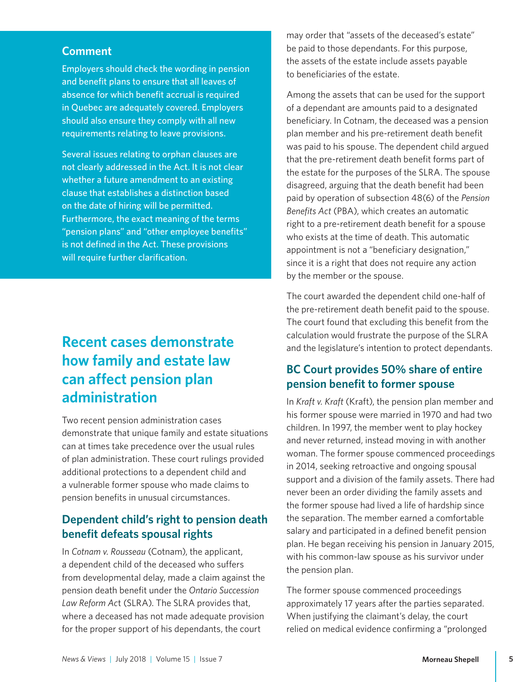### <span id="page-4-0"></span>**Comment**

Employers should check the wording in pension and benefit plans to ensure that all leaves of absence for which benefit accrual is required in Quebec are adequately covered. Employers should also ensure they comply with all new requirements relating to leave provisions.

Several issues relating to orphan clauses are not clearly addressed in the Act. It is not clear whether a future amendment to an existing clause that establishes a distinction based on the date of hiring will be permitted. Furthermore, the exact meaning of the terms "pension plans" and "other employee benefits" is not defined in the Act. These provisions will require further clarification.

## **Recent cases demonstrate how family and estate law can affect pension plan administration**

Two recent pension administration cases demonstrate that unique family and estate situations can at times take precedence over the usual rules of plan administration. These court rulings provided additional protections to a dependent child and a vulnerable former spouse who made claims to pension benefits in unusual circumstances.

### **Dependent child's right to pension death benefit defeats spousal rights**

In *Cotnam v. Rousseau* (Cotnam), the applicant, a dependent child of the deceased who suffers from developmental delay, made a claim against the pension death benefit under the *Ontario Succession Law Reform Ac*t (SLRA). The SLRA provides that, where a deceased has not made adequate provision for the proper support of his dependants, the court

may order that "assets of the deceased's estate" be paid to those dependants. For this purpose, the assets of the estate include assets payable to beneficiaries of the estate.

Among the assets that can be used for the support of a dependant are amounts paid to a designated beneficiary. In Cotnam, the deceased was a pension plan member and his pre-retirement death benefit was paid to his spouse. The dependent child argued that the pre-retirement death benefit forms part of the estate for the purposes of the SLRA. The spouse disagreed, arguing that the death benefit had been paid by operation of subsection 48(6) of the *Pension Benefits Act* (PBA), which creates an automatic right to a pre-retirement death benefit for a spouse who exists at the time of death. This automatic appointment is not a "beneficiary designation," since it is a right that does not require any action by the member or the spouse.

The court awarded the dependent child one-half of the pre-retirement death benefit paid to the spouse. The court found that excluding this benefit from the calculation would frustrate the purpose of the SLRA and the legislature's intention to protect dependants.

### **BC Court provides 50% share of entire pension benefit to former spouse**

In *Kraft v. Kraft* (Kraft), the pension plan member and his former spouse were married in 1970 and had two children. In 1997, the member went to play hockey and never returned, instead moving in with another woman. The former spouse commenced proceedings in 2014, seeking retroactive and ongoing spousal support and a division of the family assets. There had never been an order dividing the family assets and the former spouse had lived a life of hardship since the separation. The member earned a comfortable salary and participated in a defined benefit pension plan. He began receiving his pension in January 2015, with his common-law spouse as his survivor under the pension plan.

The former spouse commenced proceedings approximately 17 years after the parties separated. When justifying the claimant's delay, the court relied on medical evidence confirming a "prolonged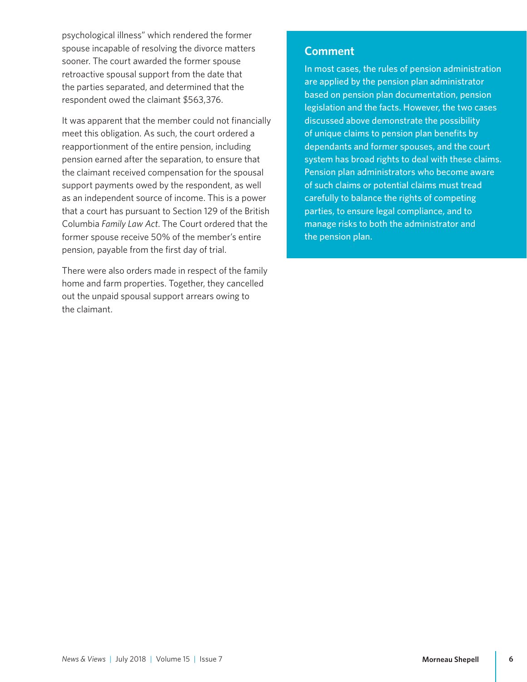psychological illness" which rendered the former spouse incapable of resolving the divorce matters sooner. The court awarded the former spouse retroactive spousal support from the date that the parties separated, and determined that the respondent owed the claimant \$563,376.

It was apparent that the member could not financially meet this obligation. As such, the court ordered a reapportionment of the entire pension, including pension earned after the separation, to ensure that the claimant received compensation for the spousal support payments owed by the respondent, as well as an independent source of income. This is a power that a court has pursuant to Section 129 of the British Columbia *Family Law Act*. The Court ordered that the former spouse receive 50% of the member's entire pension, payable from the first day of trial.

There were also orders made in respect of the family home and farm properties. Together, they cancelled out the unpaid spousal support arrears owing to the claimant.

### **Comment**

In most cases, the rules of pension administration are applied by the pension plan administrator based on pension plan documentation, pension legislation and the facts. However, the two cases discussed above demonstrate the possibility of unique claims to pension plan benefits by dependants and former spouses, and the court system has broad rights to deal with these claims. Pension plan administrators who become aware of such claims or potential claims must tread carefully to balance the rights of competing parties, to ensure legal compliance, and to manage risks to both the administrator and the pension plan.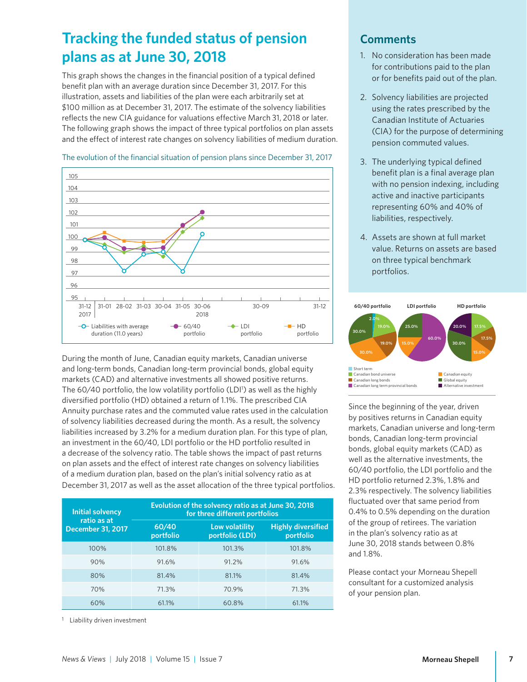## <span id="page-6-0"></span>**Tracking the funded status of pension plans as at June 30, 2018**

This graph shows the changes in the financial position of a typical defined benefit plan with an average duration since December 31, 2017. For this illustration, assets and liabilities of the plan were each arbitrarily set at \$100 million as at December 31, 2017. The estimate of the solvency liabilities reflects the new CIA guidance for valuations effective March 31, 2018 or later. The following graph shows the impact of three typical portfolios on plan assets and the effect of interest rate changes on solvency liabilities of medium duration.



#### The evolution of the financial situation of pension plans since December 31, 2017

During the month of June, Canadian equity markets, Canadian universe and long-term bonds, Canadian long-term provincial bonds, global equity markets (CAD) and alternative investments all showed positive returns. The 60/40 portfolio, the low volatility portfolio (LDI<sup>1</sup>) as well as the highly diversified portfolio (HD) obtained a return of 1.1%. The prescribed CIA Annuity purchase rates and the commuted value rates used in the calculation of solvency liabilities decreased during the month. As a result, the solvency liabilities increased by 3.2% for a medium duration plan. For this type of plan, an investment in the 60/40, LDI portfolio or the HD portfolio resulted in a decrease of the solvency ratio. The table shows the impact of past returns on plan assets and the effect of interest rate changes on solvency liabilities of a medium duration plan, based on the plan's initial solvency ratio as at December 31, 2017 as well as the asset allocation of the three typical portfolios.

| <b>Initial solvency</b><br>ratio as at<br><b>December 31, 2017</b> | Evolution of the solvency ratio as at June 30, 2018<br>for three different portfolios |                                   |                                        |
|--------------------------------------------------------------------|---------------------------------------------------------------------------------------|-----------------------------------|----------------------------------------|
|                                                                    | 60/40<br>portfolio                                                                    | Low volatility<br>portfolio (LDI) | <b>Highly diversified</b><br>portfolio |
| 100%                                                               | 101.8%                                                                                | 101.3%                            | 101.8%                                 |
| 90%                                                                | 91.6%                                                                                 | 91.2%                             | 91.6%                                  |
| 80%                                                                | 81.4%                                                                                 | 81.1%                             | 81.4%                                  |
| 70%                                                                | 71.3%                                                                                 | 70.9%                             | 71.3%                                  |
| 60%                                                                | 61.1%                                                                                 | 60.8%                             | 61.1%                                  |

<sup>1</sup> Liability driven investment

### **Comments**

- 1. No consideration has been made for contributions paid to the plan or for benefits paid out of the plan.
- 2. Solvency liabilities are projected using the rates prescribed by the Canadian Institute of Actuaries (CIA) for the purpose of determining pension commuted values.
- 3. The underlying typical defined benefit plan is a final average plan with no pension indexing, including active and inactive participants representing 60% and 40% of liabilities, respectively.
- 4. Assets are shown at full market value. Returns on assets are based on three typical benchmark portfolios.



Since the beginning of the year, driven by positives returns in Canadian equity markets, Canadian universe and long-term bonds, Canadian long-term provincial bonds, global equity markets (CAD) as well as the alternative investments, the 60/40 portfolio, the LDI portfolio and the HD portfolio returned 2.3%, 1.8% and 2.3% respectively. The solvency liabilities fluctuated over that same period from 0.4% to 0.5% depending on the duration of the group of retirees. The variation in the plan's solvency ratio as at June 30, 2018 stands between 0.8% and 1.8%.

Please contact your Morneau Shepell consultant for a customized analysis of your pension plan.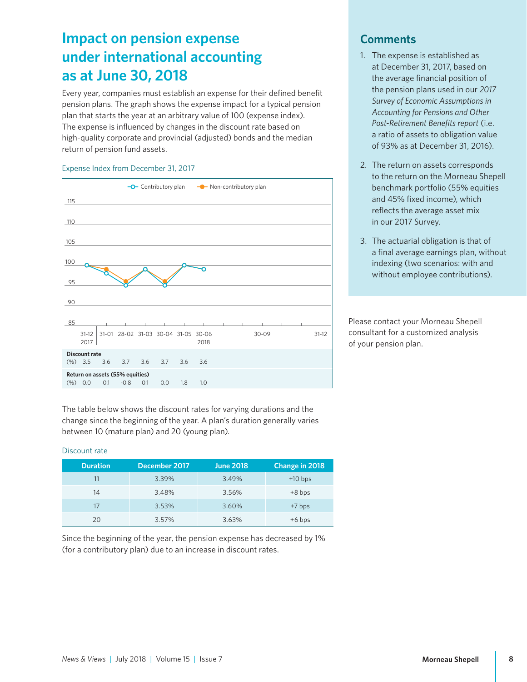## <span id="page-7-0"></span>**Impact on pension expense under international accounting as at June 30, 2018**

Every year, companies must establish an expense for their defined benefit pension plans. The graph shows the expense impact for a typical pension plan that starts the year at an arbitrary value of 100 (expense index). The expense is influenced by changes in the discount rate based on high-quality corporate and provincial (adjusted) bonds and the median return of pension fund assets.

#### Expense Index from December 31, 2017



The table below shows the discount rates for varying durations and the change since the beginning of the year. A plan's duration generally varies between 10 (mature plan) and 20 (young plan).

#### Discount rate

| <b>Duration</b> | December 2017 | <b>June 2018</b> | Change in 2018 |
|-----------------|---------------|------------------|----------------|
| 11              | 3.39%         | 3.49%            | $+10$ bps      |
| 14              | 3.48%         | 3.56%            | $+8$ bps       |
| 17              | 3.53%         | 3.60%            | $+7$ bps       |
| 20              | 3.57%         | 3.63%            | $+6$ bps       |

Since the beginning of the year, the pension expense has decreased by 1% (for a contributory plan) due to an increase in discount rates.

### **Comments**

- 1. The expense is established as at December 31, 2017, based on the average financial position of the pension plans used in our *2017 Survey of Economic Assumptions in Accounting for Pensions and Other Post-Retirement Benefits report* (i.e. a ratio of assets to obligation value of 93% as at December 31, 2016).
- 2. The return on assets corresponds to the return on the Morneau Shepell benchmark portfolio (55% equities and 45% fixed income), which reflects the average asset mix in our 2017 Survey.
- 3. The actuarial obligation is that of a final average earnings plan, without indexing (two scenarios: with and without employee contributions).

Please contact your Morneau Shepell consultant for a customized analysis of your pension plan.